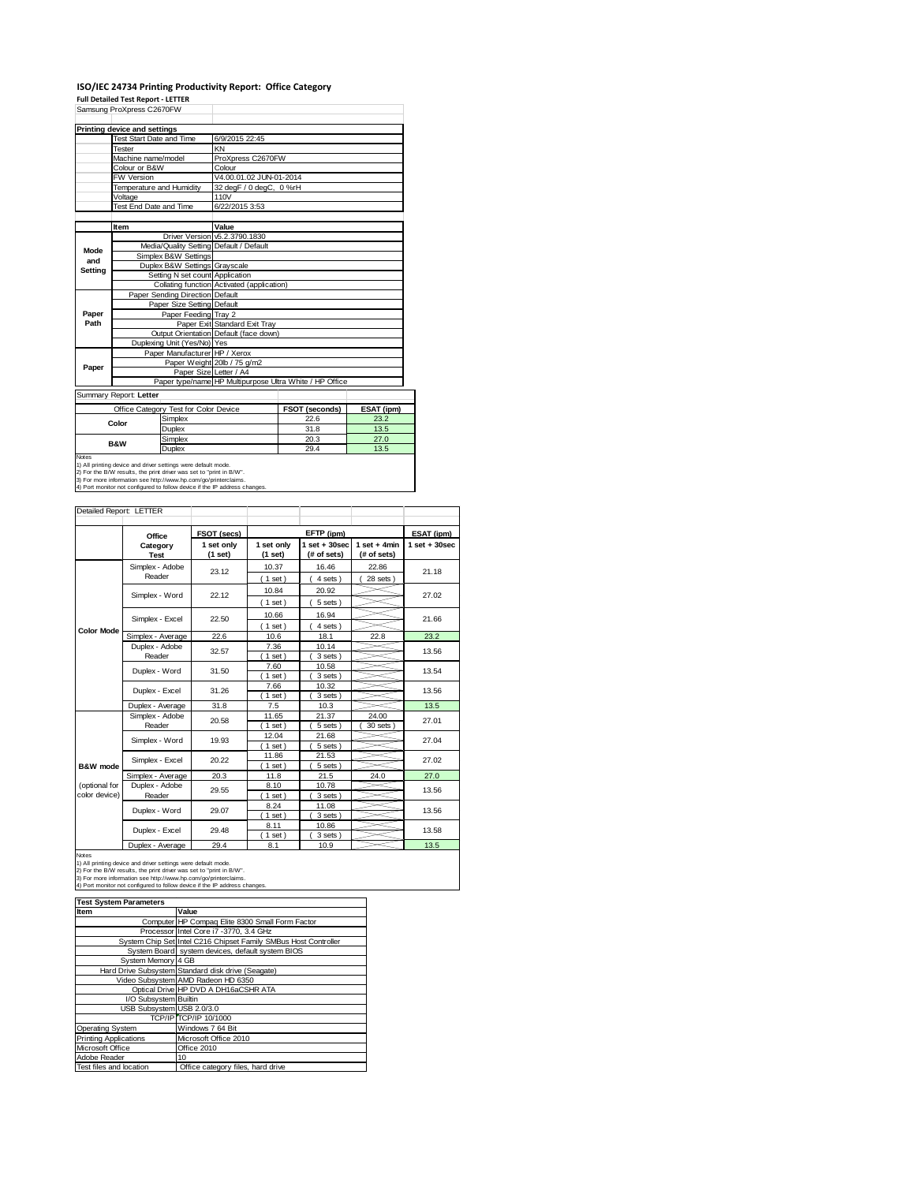### **ISO/IEC 24734 Printing Productivity Report: Office Category Full Detailed Test Report ‐ LETTER**

Samsung ProXpress C2670FW

| Samsung ProXpress C26/0FW             |                                        |                                                                                                                                                                                                                                                                                                         |                                                                                                  |  |  |  |
|---------------------------------------|----------------------------------------|---------------------------------------------------------------------------------------------------------------------------------------------------------------------------------------------------------------------------------------------------------------------------------------------------------|--------------------------------------------------------------------------------------------------|--|--|--|
| Printing device and settings          |                                        |                                                                                                                                                                                                                                                                                                         |                                                                                                  |  |  |  |
| Test Start Date and Time              | 6/9/2015 22:45                         |                                                                                                                                                                                                                                                                                                         |                                                                                                  |  |  |  |
| Tester                                | KN                                     |                                                                                                                                                                                                                                                                                                         |                                                                                                  |  |  |  |
| Machine name/model                    |                                        | ProXpress C2670FW                                                                                                                                                                                                                                                                                       |                                                                                                  |  |  |  |
| Colour or B&W                         | Colour                                 |                                                                                                                                                                                                                                                                                                         |                                                                                                  |  |  |  |
| <b>FW Version</b>                     |                                        |                                                                                                                                                                                                                                                                                                         |                                                                                                  |  |  |  |
| Temperature and Humidity              |                                        |                                                                                                                                                                                                                                                                                                         |                                                                                                  |  |  |  |
| Voltage                               | 110V                                   |                                                                                                                                                                                                                                                                                                         |                                                                                                  |  |  |  |
|                                       | 6/22/2015 3:53                         |                                                                                                                                                                                                                                                                                                         |                                                                                                  |  |  |  |
|                                       |                                        |                                                                                                                                                                                                                                                                                                         |                                                                                                  |  |  |  |
|                                       |                                        |                                                                                                                                                                                                                                                                                                         |                                                                                                  |  |  |  |
| Mode                                  |                                        |                                                                                                                                                                                                                                                                                                         |                                                                                                  |  |  |  |
|                                       |                                        |                                                                                                                                                                                                                                                                                                         |                                                                                                  |  |  |  |
|                                       |                                        |                                                                                                                                                                                                                                                                                                         |                                                                                                  |  |  |  |
|                                       |                                        |                                                                                                                                                                                                                                                                                                         |                                                                                                  |  |  |  |
|                                       |                                        |                                                                                                                                                                                                                                                                                                         |                                                                                                  |  |  |  |
|                                       |                                        |                                                                                                                                                                                                                                                                                                         |                                                                                                  |  |  |  |
|                                       |                                        |                                                                                                                                                                                                                                                                                                         |                                                                                                  |  |  |  |
|                                       |                                        |                                                                                                                                                                                                                                                                                                         |                                                                                                  |  |  |  |
|                                       |                                        |                                                                                                                                                                                                                                                                                                         |                                                                                                  |  |  |  |
|                                       |                                        |                                                                                                                                                                                                                                                                                                         |                                                                                                  |  |  |  |
|                                       | Output Orientation Default (face down) |                                                                                                                                                                                                                                                                                                         |                                                                                                  |  |  |  |
| Duplexing Unit (Yes/No) Yes           |                                        |                                                                                                                                                                                                                                                                                                         |                                                                                                  |  |  |  |
| Paper Manufacturer HP / Xerox         |                                        |                                                                                                                                                                                                                                                                                                         |                                                                                                  |  |  |  |
|                                       | Paper Weight 20lb / 75 g/m2            |                                                                                                                                                                                                                                                                                                         |                                                                                                  |  |  |  |
|                                       |                                        |                                                                                                                                                                                                                                                                                                         |                                                                                                  |  |  |  |
|                                       | Paper Size Letter / A4                 | Paper type/name HP Multipurpose Ultra White / HP Office                                                                                                                                                                                                                                                 |                                                                                                  |  |  |  |
| Summary Report: Letter                |                                        |                                                                                                                                                                                                                                                                                                         |                                                                                                  |  |  |  |
| Office Category Test for Color Device |                                        | <b>FSOT (seconds)</b>                                                                                                                                                                                                                                                                                   | ESAT (ipm)                                                                                       |  |  |  |
| Simplex                               |                                        | 22.6                                                                                                                                                                                                                                                                                                    | 23.2                                                                                             |  |  |  |
| Color<br>Duplex                       |                                        | 31.8                                                                                                                                                                                                                                                                                                    | 13.5                                                                                             |  |  |  |
| Simplex                               |                                        | 20.3                                                                                                                                                                                                                                                                                                    | 27.0                                                                                             |  |  |  |
| <b>B&amp;W</b><br>Duplex              |                                        | 29.4                                                                                                                                                                                                                                                                                                    | 13.5                                                                                             |  |  |  |
|                                       | Test End Date and Time<br>Item         | Value<br>Driver Version v5.2.3790.1830<br>Media/Quality Setting Default / Default<br>Simplex B&W Settings<br>Duplex B&W Settings Grayscale<br>Setting N set count Application<br>Paper Sending Direction Default<br>Paper Size Setting Default<br>Paper Feeding Tray 2<br>Paper Exit Standard Exit Tray | V4.00.01.02 JUN-01-2014<br>32 degF / 0 degC, 0 %rH<br>Collating function Activated (application) |  |  |  |

1) All printing device and driver settings were default mode.<br>2) For the B/W results, the print driver was set to "print in B/W".<br>3) For more information see http://www.hp.com/go/printerclaims.<br>4) Port monitor not configur

Detailed Report: LETTER

| Delaileu Report. LETTER        |                           |                       |                       |                                |                               |                   |
|--------------------------------|---------------------------|-----------------------|-----------------------|--------------------------------|-------------------------------|-------------------|
|                                | Office                    | FSOT (secs)           |                       | EFTP (ipm)                     |                               | ESAT (ipm)        |
|                                | Category<br><b>Test</b>   | 1 set only<br>(1 set) | 1 set only<br>(1 set) | $1$ set + 30sec<br>(# of sets) | $1$ set + 4min<br>(# of sets) | $1$ set $+30$ sec |
|                                | Simplex - Adobe<br>Reader | 23.12                 | 10.37<br>(1 set)      | 16.46<br>4 sets                | 22.86<br>28 sets )            | 21.18             |
|                                | Simplex - Word            | 22.12                 | 10.84<br>(1 set)      | 20.92<br>5 sets)               |                               | 27.02             |
| <b>Color Mode</b>              | Simplex - Excel           | 22.50                 | 10.66<br>$1$ set)     | 16.94<br>4 sets)               |                               | 21.66             |
|                                | Simplex - Average         | 22.6                  | 10.6                  | 18.1                           | 22.8                          | 23.2              |
|                                | Duplex - Adobe<br>Reader  | 32.57                 | 7.36<br>$1$ set)      | 10.14<br>3 sets)               |                               | 13.56             |
|                                | Duplex - Word             | 31.50                 | 7.60<br>$1$ set)      | 10.58<br>3 sets )              |                               | 13.54             |
|                                | Duplex - Excel            | 31.26                 | 7.66<br>$1$ set)      | 10.32<br>3 sets)               |                               | 13.56             |
|                                | Duplex - Average          | 31.8                  | 7.5                   | 10.3                           |                               | 13.5              |
|                                | Simplex - Adobe<br>Reader | 20.58                 | 11.65<br>$1$ set)     | 21.37<br>5 sets                | 24.00<br>30 sets              | 27.01             |
|                                | Simplex - Word            | 19.93                 | 12.04<br>$1$ set)     | 21.68<br>5 sets)               |                               | 27.04             |
| <b>B&amp;W</b> mode            | Simplex - Excel           | 20.22                 | 11.86<br>$1$ set)     | 21.53<br>5 sets                |                               | 27.02             |
|                                | Simplex - Average         | 20.3                  | 11.8                  | 21.5                           | 24.0                          | 27.0              |
| (optional for<br>color device) | Duplex - Adobe<br>Reader  | 29.55                 | 8.10<br>$1$ set)      | 10.78<br>3 sets)               |                               | 13.56             |
|                                | Duplex - Word             | 29.07                 | 8.24<br>$1$ set)      | 11.08<br>3 sets)               |                               | 13.56             |
|                                | Duplex - Excel            | 29.48                 | 8.11<br>$1$ set)      | 10.86<br>3 sets                |                               | 13.58             |
|                                | Duplex - Average          | 29.4                  | 8.1                   | 10.9                           |                               | 13.5              |

Notes<br>1) All printing device and driver settings were default mode.<br>2) For the B/W results, the print driver was set to "print in B/W".<br>3) For more information see http://www.hp.com/go/printerclaims.<br>4) Port monitor not co **Item Value**<br>Computer HP Compaq Elite 8300 Small Form Factor Processor Intel Core i7 -3770, 3.4 GHz System Chip Set Intel C216 Chipset Family SMBus Host Controller System Board system devices, default system BIOS<br>System Memory 4 GB<br>Hard Drive Subsystem Standard disk drive (Seagate)<br>Video Subsystem AMD Radeon HD 6350<br>Optical Drive HP DVD A DH16aCSHR ATA I/O Subsystem Builtin USB Subsystem USB 2.0/3.0 TCP/IP TCP/IP 10/1000 Operating System Operating System Mindows 7 64 Bit<br>
Printing Applications Microsoft Office 2010<br>
Microsoft Office Office 2010 Microsoft Office Adobe Reader<br>Test files and location 10<br>Office category files, hard drive **Test System Parameters**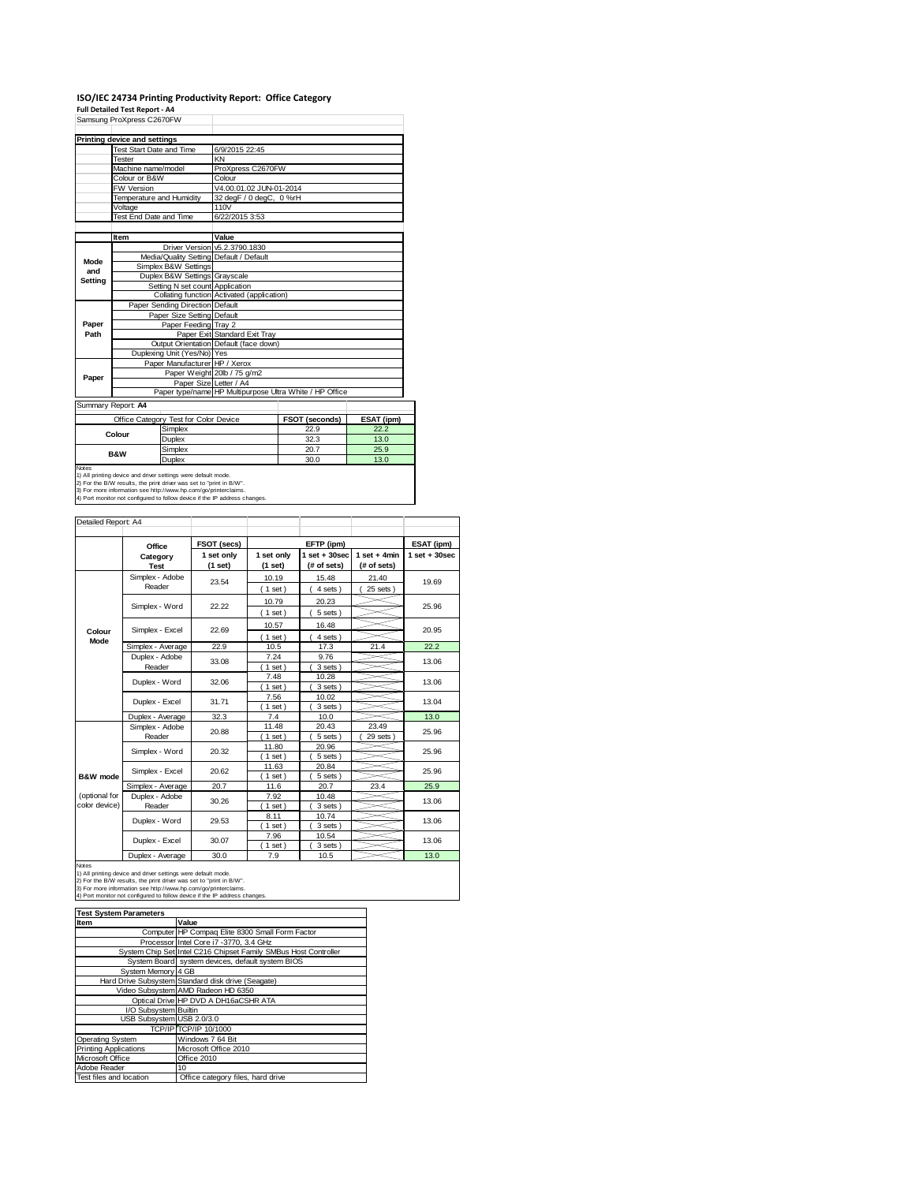# **ISO/IEC 24734 Printing Productivity Report: Office Category Full Detailed Test Report ‐ A4**

|                | Samsung ProXpress C2670FW           |                                       |                                            |                                                         |            |  |  |
|----------------|-------------------------------------|---------------------------------------|--------------------------------------------|---------------------------------------------------------|------------|--|--|
|                | <b>Printing device and settings</b> |                                       |                                            |                                                         |            |  |  |
|                | Test Start Date and Time            |                                       | 6/9/2015 22:45                             |                                                         |            |  |  |
|                | <b>Tester</b>                       |                                       | KN                                         |                                                         |            |  |  |
|                | Machine name/model                  |                                       | ProXpress C2670FW                          |                                                         |            |  |  |
|                | Colour or B&W                       |                                       | Colour                                     |                                                         |            |  |  |
|                | FW Version                          |                                       | V4.00.01.02 JUN-01-2014                    |                                                         |            |  |  |
|                | Temperature and Humidity            |                                       | 32 degF / 0 degC, 0 %rH                    |                                                         |            |  |  |
|                | Voltage                             |                                       | 110V                                       |                                                         |            |  |  |
|                | Test End Date and Time              |                                       | 6/22/2015 3:53                             |                                                         |            |  |  |
|                |                                     |                                       |                                            |                                                         |            |  |  |
|                | Item                                |                                       | Value                                      |                                                         |            |  |  |
|                |                                     |                                       | Driver Version v5.2.3790.1830              |                                                         |            |  |  |
| Mode           |                                     |                                       | Media/Quality Setting Default / Default    |                                                         |            |  |  |
| and            |                                     | Simplex B&W Settings                  |                                            |                                                         |            |  |  |
| Setting        |                                     | Duplex B&W Settings Grayscale         |                                            |                                                         |            |  |  |
|                |                                     | Setting N set count Application       |                                            |                                                         |            |  |  |
|                |                                     |                                       | Collating function Activated (application) |                                                         |            |  |  |
|                |                                     | Paper Sending Direction Default       |                                            |                                                         |            |  |  |
|                |                                     | Paper Size Setting Default            |                                            |                                                         |            |  |  |
| Paper          |                                     | Paper Feeding Tray 2                  |                                            |                                                         |            |  |  |
| Path           |                                     |                                       | Paper Exit Standard Exit Tray              |                                                         |            |  |  |
|                |                                     |                                       | Output Orientation Default (face down)     |                                                         |            |  |  |
|                |                                     | Duplexing Unit (Yes/No) Yes           |                                            |                                                         |            |  |  |
|                |                                     | Paper Manufacturer HP / Xerox         |                                            |                                                         |            |  |  |
| Paper          |                                     |                                       | Paper Weight 20lb / 75 g/m2                |                                                         |            |  |  |
|                |                                     | Paper Size Letter / A4                |                                            |                                                         |            |  |  |
|                |                                     |                                       |                                            | Paper type/name HP Multipurpose Ultra White / HP Office |            |  |  |
|                | Summary Report: A4                  |                                       |                                            |                                                         |            |  |  |
|                |                                     | Office Category Test for Color Device |                                            | <b>FSOT (seconds)</b>                                   | ESAT (ipm) |  |  |
|                | Colour                              | Simplex                               |                                            | 22.9                                                    | 22.2       |  |  |
|                |                                     | Duplex                                |                                            | 32.3                                                    | 13.0       |  |  |
|                |                                     | Simplex                               |                                            | 20.7                                                    | 25.9       |  |  |
| <b>B&amp;W</b> |                                     | Dunley                                |                                            | an u                                                    | 130        |  |  |

Duplex 30.0 13.0 Notes 1) All printing device and driver settings were default mode. 2) For the B/W results, the print driver was set to "print in B/W". 3) For more information see http://www.hp.com/go/printerclaims. 4) Port monitor not configured to follow device if the IP address changes.

| Detailed Report: A4            |                           |                       |                       |                                  |                               |                   |
|--------------------------------|---------------------------|-----------------------|-----------------------|----------------------------------|-------------------------------|-------------------|
|                                | Office                    | FSOT (secs)           |                       | EFTP (ipm)                       |                               | ESAT (ipm)        |
|                                | Category<br><b>Test</b>   | 1 set only<br>(1 set) | 1 set only<br>(1 set) | $1$ set $+30$ sec<br>(# of sets) | $1$ set + 4min<br>(# of sets) | $1$ set $+30$ sec |
|                                | Simplex - Adobe<br>Reader | 23.54                 | 10.19<br>$1$ set)     | 15.48<br>4 sets)                 | 21.40<br>25 sets              | 19.69             |
|                                | Simplex - Word            | 22.22                 | 10.79<br>$1$ set)     | 20.23<br>5 sets)                 |                               | 25.96             |
| Colour                         | Simplex - Excel           | 22.69                 | 10.57<br>$1$ set)     | 16.48<br>4 sets)                 |                               | 20.95             |
| Mode                           | Simplex - Average         | 22.9                  | 10.5                  | 17.3                             | 21.4                          | 22.2              |
|                                | Duplex - Adobe<br>Reader  | 33.08                 | 7.24<br>$1$ set)      | 9.76<br>3 sets)                  |                               | 13.06             |
|                                | Duplex - Word             | 32.06                 | 7.48<br>$1$ set)      | 10.28<br>3 sets)                 |                               | 13.06             |
|                                | Duplex - Excel            | 31.71                 | 7.56<br>$1$ set)      | 10.02<br>3 sets)                 |                               | 13.04             |
|                                | Duplex - Average          | 32.3                  | 7.4                   | 10.0                             |                               | 13.0              |
|                                | Simplex - Adobe<br>Reader | 20.88                 | 11.48<br>$1$ set)     | 20.43<br>5 sets)                 | 23.49<br>29 sets              | 25.96             |
|                                | Simplex - Word            | 20.32                 | 11.80<br>$1$ set)     | 20.96<br>5 sets)                 |                               | 25.96             |
| B&W mode                       | Simplex - Excel           | 20.62                 | 11.63<br>$1$ set)     | 20.84<br>5 sets)                 |                               | 25.96             |
|                                | Simplex - Average         | 20.7                  | 11.6                  | 20.7                             | 23.4                          | 25.9              |
| (optional for<br>color device) | Duplex - Adobe<br>Reader  | 30.26                 | 7.92<br>$1$ set)      | 10.48<br>3 sets)                 |                               | 13.06             |
|                                | Duplex - Word             | 29.53                 | 8.11<br>$1$ set)      | 10.74<br>3 sets)                 |                               | 13.06             |
|                                | Duplex - Excel            | 30.07                 | 7.96<br>$1$ set)      | 10.54<br>3 sets)                 |                               | 13.06             |
|                                | Duplex - Average          | 30.0                  | 7.9                   | 10.5                             |                               | 13.0              |

Notes<br>1) All printing device and driver settings were default mode.<br>2) For the B/W results, the print driver was set to "print in B/W".<br>3) For more information see http://www.hp.com/go/printerclaims.<br>4) Port monitor not co

| <b>Test System Parameters</b> |                                                                 |  |  |  |  |  |
|-------------------------------|-----------------------------------------------------------------|--|--|--|--|--|
| <b>Item</b>                   | Value                                                           |  |  |  |  |  |
|                               | Computer HP Compaq Elite 8300 Small Form Factor                 |  |  |  |  |  |
|                               | Processor Intel Core i7 -3770, 3.4 GHz                          |  |  |  |  |  |
|                               | System Chip Set Intel C216 Chipset Family SMBus Host Controller |  |  |  |  |  |
|                               | System Board system devices, default system BIOS                |  |  |  |  |  |
| System Memory 4 GB            |                                                                 |  |  |  |  |  |
|                               | Hard Drive Subsystem Standard disk drive (Seagate)              |  |  |  |  |  |
|                               | Video Subsystem AMD Radeon HD 6350                              |  |  |  |  |  |
|                               | Optical Drive HP DVD A DH16aCSHR ATA                            |  |  |  |  |  |
| I/O Subsystem Builtin         |                                                                 |  |  |  |  |  |
| USB Subsystem USB 2.0/3.0     |                                                                 |  |  |  |  |  |
|                               | TCP/IP TCP/IP 10/1000                                           |  |  |  |  |  |
| <b>Operating System</b>       | Windows 7 64 Bit                                                |  |  |  |  |  |
| <b>Printing Applications</b>  | Microsoft Office 2010                                           |  |  |  |  |  |
| Microsoft Office              | Office 2010                                                     |  |  |  |  |  |
| Adobe Reader                  | 10                                                              |  |  |  |  |  |
| Test files and location       | Office category files, hard drive                               |  |  |  |  |  |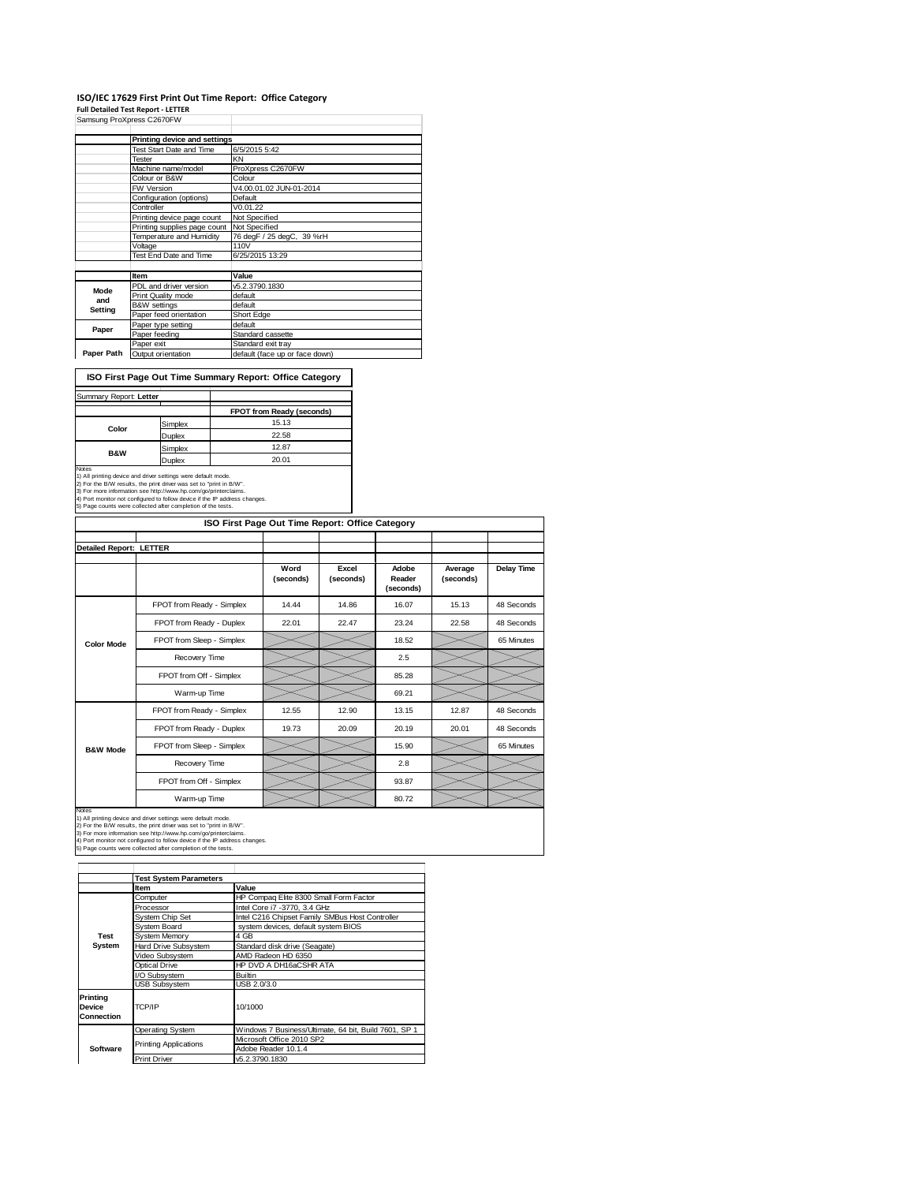## **ISO/IEC 17629 First Print Out Time Report: Office Category**

**Full Detailed Test Report ‐ LETTER**

|            | Samsung ProXpress C2670FW       |                                |
|------------|---------------------------------|--------------------------------|
|            | Printing device and settings    |                                |
|            | <b>Test Start Date and Time</b> | 6/5/2015 5:42                  |
|            | <b>Tester</b>                   | KN                             |
|            | Machine name/model              | ProXpress C2670FW              |
|            | Colour or B&W                   | Colour                         |
|            | FW Version                      | V4.00.01.02 JUN-01-2014        |
|            | Configuration (options)         | Default                        |
|            | Controller                      | V0.01.22                       |
|            | Printing device page count      | Not Specified                  |
|            | Printing supplies page count    | Not Specified                  |
|            | Temperature and Humidity        | 76 degF / 25 degC, 39 %rH      |
|            | Voltage                         | 110V                           |
|            | Test End Date and Time          | 6/25/2015 13:29                |
|            |                                 |                                |
|            | Item                            | Value                          |
| Mode       | PDL and driver version          | v5.2.3790.1830                 |
| and        | Print Quality mode              | default                        |
| Setting    | <b>B&amp;W</b> settings         | default                        |
|            | Paper feed orientation          | Short Edge                     |
| Paper      | Paper type setting              | default                        |
|            | Paper feeding                   | Standard cassette              |
|            | Paper exit                      | Standard exit tray             |
| Paper Path | Output orientation              | default (face up or face down) |

**ISO First Page Out Time Summary Report: Office Category**

| Summary Report: Letter |               |                                  |
|------------------------|---------------|----------------------------------|
|                        |               | <b>FPOT from Ready (seconds)</b> |
| Color                  | Simplex       | 15.13                            |
|                        | <b>Duplex</b> | 22.58                            |
| <b>B&amp;W</b>         | Simplex       | 12.87                            |
|                        | $D = -1$      | 20.01                            |

Duplex<br>Notes<br>1) All priming device and driver settings were default mode.<br>2) For the BAW results, the print driver was set to  $\gamma$  print in BAW.<br>3) For more information see http://www.hp.com/go/printerclaims.<br>4) Port monit

|                                | ISO First Page Out Time Report: Office Category |                   |                    |                              |                      |            |  |
|--------------------------------|-------------------------------------------------|-------------------|--------------------|------------------------------|----------------------|------------|--|
|                                |                                                 |                   |                    |                              |                      |            |  |
| <b>Detailed Report: LETTER</b> |                                                 |                   |                    |                              |                      |            |  |
|                                |                                                 | Word<br>(seconds) | Excel<br>(seconds) | Adobe<br>Reader<br>(seconds) | Average<br>(seconds) | Delay Time |  |
|                                | FPOT from Ready - Simplex                       | 14.44             | 14.86              | 16.07                        | 15.13                | 48 Seconds |  |
|                                | FPOT from Ready - Duplex                        | 22.01             | 22.47              | 23.24                        | 22.58                | 48 Seconds |  |
| <b>Color Mode</b>              | FPOT from Sleep - Simplex                       |                   |                    | 18.52                        |                      | 65 Minutes |  |
|                                | Recovery Time                                   |                   |                    | 2.5                          |                      |            |  |
|                                | FPOT from Off - Simplex                         |                   |                    | 85.28                        |                      |            |  |
|                                | Warm-up Time                                    |                   |                    | 69.21                        |                      |            |  |
|                                | FPOT from Ready - Simplex                       | 12.55             | 12.90              | 13.15                        | 12.87                | 48 Seconds |  |
|                                | FPOT from Ready - Duplex                        | 19.73             | 20.09              | 20.19                        | 20.01                | 48 Seconds |  |
| <b>B&amp;W Mode</b>            | FPOT from Sleep - Simplex                       |                   |                    | 15.90                        |                      | 65 Minutes |  |
|                                | Recovery Time                                   |                   |                    | 2.8                          |                      |            |  |
|                                | FPOT from Off - Simplex                         |                   |                    | 93.87                        |                      |            |  |
| <b>Motoo</b>                   | Warm-up Time                                    |                   |                    | 80.72                        |                      |            |  |

Notes<br>1) All printing device and driver settings were default mode.<br>2) For the B/W results, the print driver was set to "print in B/W".<br>3) For more information see http://www.hp.com/go/printerclaims.<br>4) Port monitor not co

|                                  | <b>Test System Parameters</b> |                                                       |  |  |  |
|----------------------------------|-------------------------------|-------------------------------------------------------|--|--|--|
|                                  | <b>Item</b>                   | Value                                                 |  |  |  |
|                                  | Computer                      | HP Compaq Elite 8300 Small Form Factor                |  |  |  |
|                                  | Processor                     | Intel Core i7 -3770, 3.4 GHz                          |  |  |  |
|                                  | <b>System Chip Set</b>        | Intel C216 Chipset Family SMBus Host Controller       |  |  |  |
|                                  | System Board                  | system devices, default system BIOS                   |  |  |  |
| <b>Test</b>                      | <b>System Memory</b>          | 4 GB                                                  |  |  |  |
| System                           | Hard Drive Subsystem          | Standard disk drive (Seagate)                         |  |  |  |
|                                  | Video Subsystem               | AMD Radeon HD 6350                                    |  |  |  |
|                                  | Optical Drive                 | HP DVD A DH16aCSHR ATA                                |  |  |  |
|                                  | I/O Subsystem                 | <b>Builtin</b>                                        |  |  |  |
|                                  | <b>USB Subsystem</b>          | USB 2.0/3.0                                           |  |  |  |
| Printing<br>Device<br>Connection | TCP/IP                        | 10/1000                                               |  |  |  |
|                                  | <b>Operating System</b>       | Windows 7 Business/Ultimate, 64 bit, Build 7601, SP 1 |  |  |  |
|                                  | <b>Printing Applications</b>  | Microsoft Office 2010 SP2                             |  |  |  |
| Software                         |                               | Adobe Reader 10.1.4                                   |  |  |  |
|                                  | <b>Print Driver</b>           | v5.2.3790.1830                                        |  |  |  |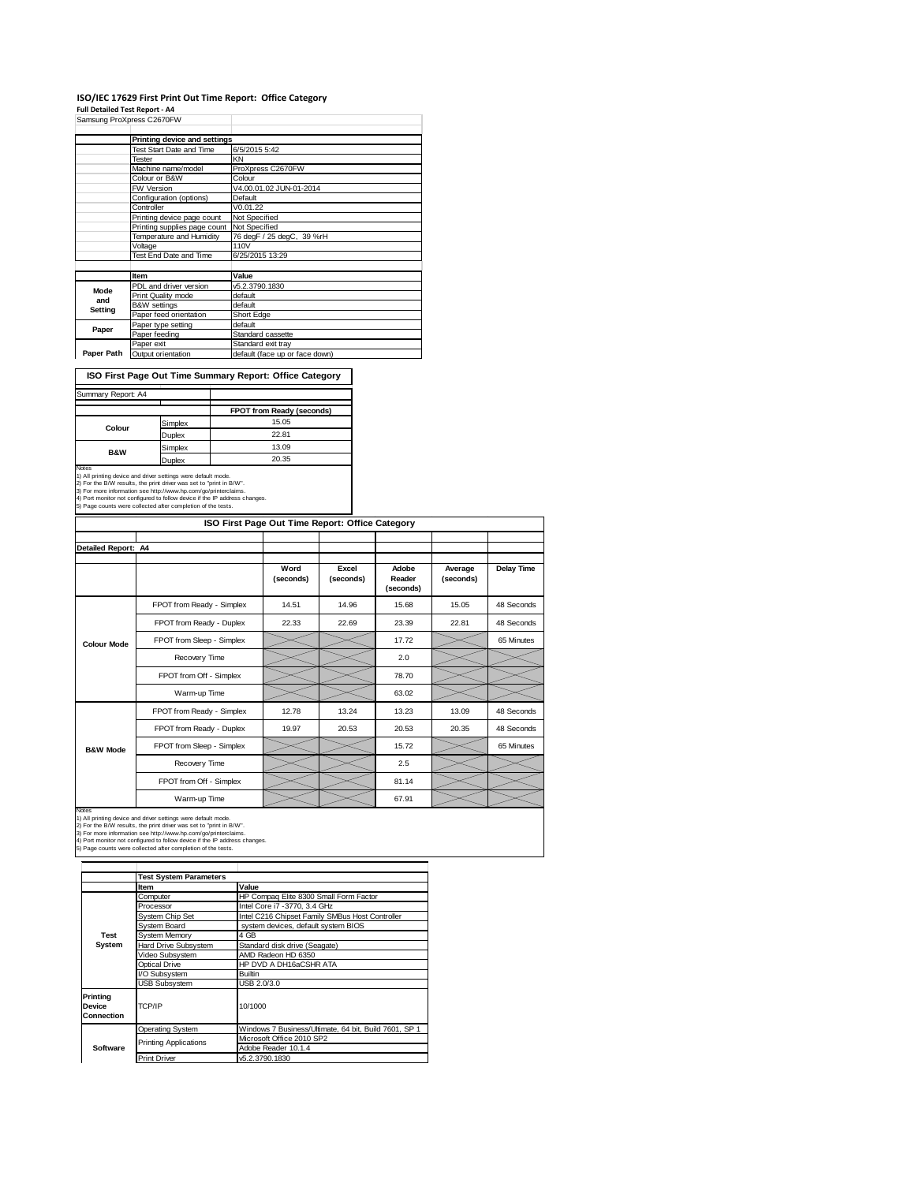## **ISO/IEC 17629 First Print Out Time Report: Office Category**

**Full Detailed Test Report ‐ A4**

|            | Samsung ProXpress C2670FW       |                                |
|------------|---------------------------------|--------------------------------|
|            | Printing device and settings    |                                |
|            | <b>Test Start Date and Time</b> | 6/5/2015 5:42                  |
|            | <b>Tester</b>                   | KN                             |
|            | Machine name/model              | ProXpress C2670FW              |
|            | Colour or B&W                   | Colour                         |
|            | FW Version                      | V4.00.01.02 JUN-01-2014        |
|            | Configuration (options)         | Default                        |
|            | Controller                      | V0.01.22                       |
|            | Printing device page count      | Not Specified                  |
|            | Printing supplies page count    | Not Specified                  |
|            | Temperature and Humidity        | 76 degF / 25 degC, 39 %rH      |
|            | Voltage                         | 110V                           |
|            | Test End Date and Time          | 6/25/2015 13:29                |
|            |                                 |                                |
|            | Item                            | Value                          |
| Mode       | PDL and driver version          | v5.2.3790.1830                 |
| and        | Print Quality mode              | default                        |
| Setting    | <b>B&amp;W</b> settings         | default                        |
|            | Paper feed orientation          | Short Edge                     |
| Paper      | Paper type setting              | default                        |
|            | Paper feeding                   | Standard cassette              |
|            | Paper exit                      | Standard exit tray             |
| Paper Path | Output orientation              | default (face up or face down) |

**ISO First Page Out Time Summary Report: Office Category**

| Summary Report: A4 |         |                           |
|--------------------|---------|---------------------------|
|                    |         | FPOT from Ready (seconds) |
| Colour             | Simplex | 15.05                     |
|                    | Duplex  | 22.81                     |
| <b>B&amp;W</b>     | Simplex | 13.09                     |
|                    | Duplex  | 20.35                     |

Notes<br>1) All printing device and driver settings were default mode.<br>2) For the B/W results, the print driver was set to "print in B/W".<br>3) For more information see http://www.hp.com/go/printerclaims.<br>4) Port monitor not co

|                     | ISO First Page Out Time Report: Office Category |                   |                    |                              |                      |                   |  |
|---------------------|-------------------------------------------------|-------------------|--------------------|------------------------------|----------------------|-------------------|--|
|                     |                                                 |                   |                    |                              |                      |                   |  |
| Detailed Report: A4 |                                                 |                   |                    |                              |                      |                   |  |
|                     |                                                 | Word<br>(seconds) | Excel<br>(seconds) | Adobe<br>Reader<br>(seconds) | Average<br>(seconds) | <b>Delay Time</b> |  |
|                     | FPOT from Ready - Simplex                       | 14.51             | 14.96              | 15.68                        | 15.05                | 48 Seconds        |  |
|                     | FPOT from Ready - Duplex                        | 22.33             | 22.69              | 23.39                        | 22.81                | 48 Seconds        |  |
| <b>Colour Mode</b>  | FPOT from Sleep - Simplex                       |                   |                    | 17.72                        |                      | 65 Minutes        |  |
|                     | Recovery Time                                   |                   |                    | 2.0                          |                      |                   |  |
|                     | FPOT from Off - Simplex                         |                   |                    | 78.70                        |                      |                   |  |
|                     | Warm-up Time                                    |                   |                    | 63.02                        |                      |                   |  |
|                     | FPOT from Ready - Simplex                       | 12.78             | 13.24              | 13.23                        | 13.09                | 48 Seconds        |  |
|                     | FPOT from Ready - Duplex                        | 19.97             | 20.53              | 20.53                        | 20.35                | 48 Seconds        |  |
| <b>B&amp;W Mode</b> | FPOT from Sleep - Simplex                       |                   |                    | 15.72                        |                      | 65 Minutes        |  |
|                     | Recovery Time                                   |                   |                    | 2.5                          |                      |                   |  |
|                     | FPOT from Off - Simplex                         |                   |                    | 81.14                        |                      |                   |  |
|                     | Warm-up Time                                    |                   |                    | 67.91                        |                      |                   |  |

Notes<br>1) All printing device and driver settings were default mode.<br>2) For the B/W results, the print driver was set to "print in B/W".<br>3) For more information see http://www.hp.com/go/printerclaims.<br>4) Port monitor not co

|                                  | <b>Test System Parameters</b>           |                                                       |  |  |
|----------------------------------|-----------------------------------------|-------------------------------------------------------|--|--|
|                                  | Item                                    | Value                                                 |  |  |
|                                  | Computer                                | HP Compaq Elite 8300 Small Form Factor                |  |  |
|                                  | Processor                               | Intel Core i7 - 3770, 3.4 GHz                         |  |  |
|                                  | <b>System Chip Set</b>                  | Intel C216 Chipset Family SMBus Host Controller       |  |  |
|                                  | System Board                            | system devices, default system BIOS                   |  |  |
| <b>Test</b>                      | <b>System Memory</b>                    | 4 GB                                                  |  |  |
| System                           | Hard Drive Subsystem                    | Standard disk drive (Seagate)                         |  |  |
|                                  | Video Subsystem                         | AMD Radeon HD 6350                                    |  |  |
|                                  | HP DVD A DH16aCSHR ATA<br>Optical Drive |                                                       |  |  |
|                                  | I/O Subsystem                           | <b>Builtin</b>                                        |  |  |
|                                  | <b>USB Subsystem</b>                    | USB 2.0/3.0                                           |  |  |
| Printing<br>Device<br>Connection | TCP/IP<br>10/1000                       |                                                       |  |  |
|                                  | <b>Operating System</b>                 | Windows 7 Business/Ultimate, 64 bit, Build 7601, SP 1 |  |  |
|                                  | <b>Printing Applications</b>            | Microsoft Office 2010 SP2                             |  |  |
| Software                         |                                         | Adobe Reader 10.1.4                                   |  |  |
|                                  | <b>Print Driver</b>                     | v5.2.3790.1830                                        |  |  |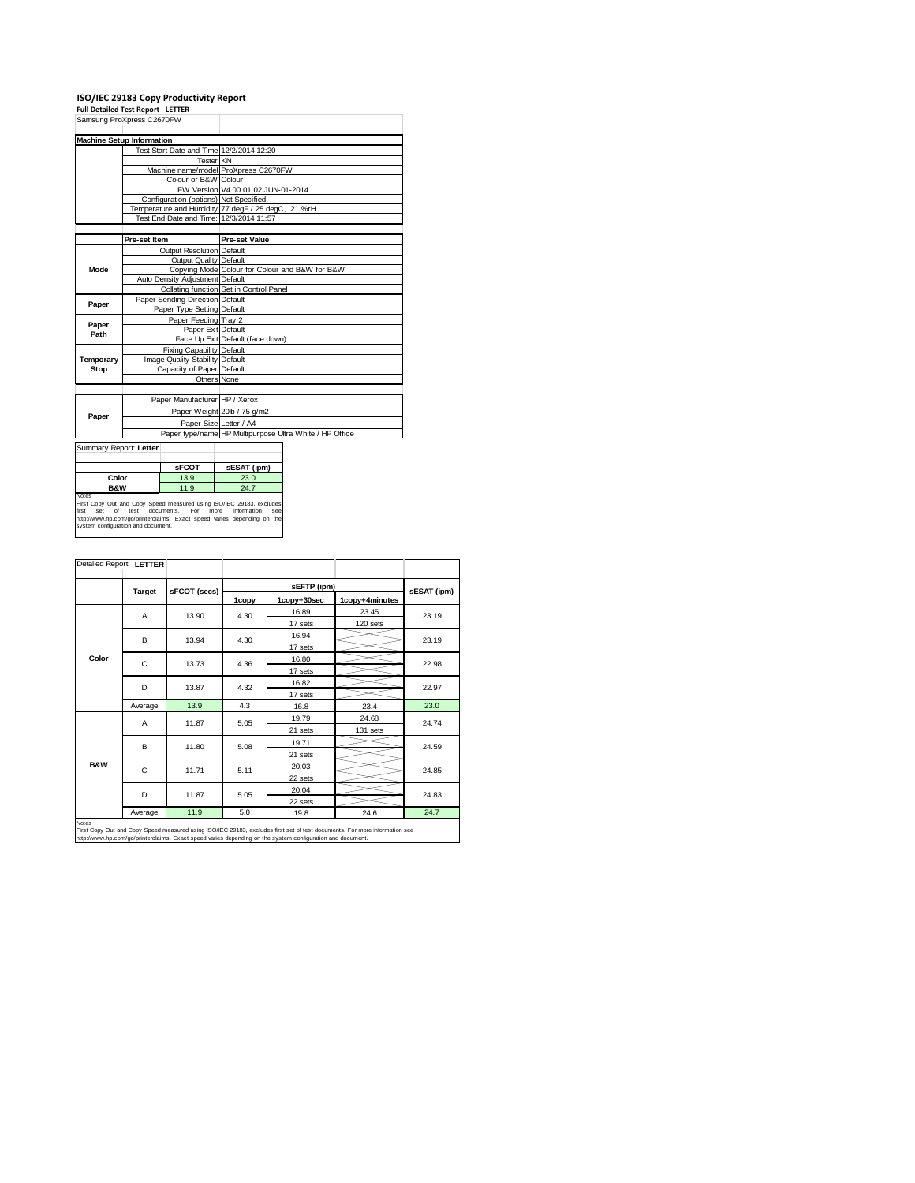**ISO/IEC 29183 Copy Productivity Report Full Detailed Test Report ‐ LETTER**

| Samsung ProXpress C2670FW          |                                 |                                       |                                                                                                    |                                                         |  |
|------------------------------------|---------------------------------|---------------------------------------|----------------------------------------------------------------------------------------------------|---------------------------------------------------------|--|
|                                    |                                 |                                       |                                                                                                    |                                                         |  |
| <b>Machine Setup Information</b>   |                                 |                                       |                                                                                                    |                                                         |  |
|                                    |                                 |                                       | Test Start Date and Time 12/2/2014 12:20                                                           |                                                         |  |
|                                    |                                 | Tester KN                             |                                                                                                    |                                                         |  |
|                                    |                                 |                                       | Machine name/model ProXpress C2670FW                                                               |                                                         |  |
|                                    |                                 | Colour or B&W Colour                  |                                                                                                    |                                                         |  |
|                                    |                                 |                                       | FW Version V4.00.01.02 JUN-01-2014                                                                 |                                                         |  |
|                                    |                                 | Configuration (options) Not Specified |                                                                                                    |                                                         |  |
|                                    |                                 |                                       | Temperature and Humidity 77 degF / 25 degC, 21 %rH                                                 |                                                         |  |
|                                    |                                 |                                       | Test End Date and Time: 12/3/2014 11:57                                                            |                                                         |  |
|                                    |                                 |                                       |                                                                                                    |                                                         |  |
|                                    | Pre-set Item                    |                                       | <b>Pre-set Value</b>                                                                               |                                                         |  |
|                                    |                                 | Output Resolution Default             |                                                                                                    |                                                         |  |
|                                    |                                 | <b>Output Quality Default</b>         |                                                                                                    |                                                         |  |
| Mode                               |                                 |                                       | Copying Mode Colour for Colour and B&W for B&W                                                     |                                                         |  |
|                                    |                                 | Auto Density Adjustment Default       |                                                                                                    |                                                         |  |
|                                    |                                 |                                       | Collating function Set in Control Panel                                                            |                                                         |  |
| Paper                              |                                 | Paper Sending Direction Default       |                                                                                                    |                                                         |  |
|                                    |                                 | Paper Type Setting Default            |                                                                                                    |                                                         |  |
| Paper                              |                                 | Paper Feeding Tray 2                  |                                                                                                    |                                                         |  |
| Path                               | Paper Exit Default              |                                       |                                                                                                    |                                                         |  |
|                                    |                                 |                                       | Face Up Exit Default (face down)                                                                   |                                                         |  |
|                                    | Fixing Capability Default       |                                       |                                                                                                    |                                                         |  |
| Temporary                          | Image Quality Stability Default |                                       |                                                                                                    |                                                         |  |
| Stop                               |                                 | Capacity of Paper Default             |                                                                                                    |                                                         |  |
|                                    |                                 |                                       | Others None                                                                                        |                                                         |  |
|                                    |                                 |                                       |                                                                                                    |                                                         |  |
|                                    |                                 | Paper Manufacturer HP / Xerox         |                                                                                                    |                                                         |  |
| Paper                              |                                 |                                       | Paper Weight 20lb / 75 g/m2                                                                        |                                                         |  |
|                                    |                                 |                                       | Paper Size Letter / A4                                                                             |                                                         |  |
|                                    |                                 |                                       |                                                                                                    | Paper type/name HP Multipurpose Ultra White / HP Office |  |
| Summary Report: Letter             |                                 |                                       |                                                                                                    |                                                         |  |
|                                    |                                 |                                       |                                                                                                    |                                                         |  |
|                                    |                                 | <b>SFCOT</b>                          | sESAT (ipm)                                                                                        |                                                         |  |
| Color<br>13.9                      |                                 | 23.0                                  |                                                                                                    |                                                         |  |
| <b>B&amp;W</b>                     |                                 | 11.9                                  | 24.7                                                                                               |                                                         |  |
| Notes                              |                                 |                                       |                                                                                                    |                                                         |  |
| set<br>of<br>first                 | test                            | For<br>documents.                     | First Copy Out and Copy Speed measured using ISO/IEC 29183, excludes<br>more<br>information<br>see |                                                         |  |
|                                    |                                 |                                       | http://www.hp.com/go/printerclaims. Exact speed varies depending on the                            |                                                         |  |
| system configuration and document. |                                 |                                       |                                                                                                    |                                                         |  |

|                | Detailed Report: LETTER |              |       |             |                |             |  |
|----------------|-------------------------|--------------|-------|-------------|----------------|-------------|--|
|                |                         |              |       |             |                |             |  |
|                | Target                  | sFCOT (secs) | 1copy | 1copy+30sec | 1copy+4minutes | sESAT (ipm) |  |
|                | A                       | 13.90        | 4.30  | 16.89       | 23.45          | 23.19       |  |
|                |                         |              |       | 17 sets     | 120 sets       |             |  |
|                | B                       | 13.94        | 4.30  | 16.94       |                | 23.19       |  |
|                |                         |              |       | 17 sets     |                |             |  |
| Color          | C                       | 13.73        | 4.36  | 16.80       |                | 22.98       |  |
|                |                         |              |       | 17 sets     |                |             |  |
|                | D                       | 13.87        | 4.32  | 16.82       |                | 22.97       |  |
|                |                         |              |       | 17 sets     |                |             |  |
|                | Average                 | 13.9         | 4.3   | 16.8        | 23.4           | 23.0        |  |
|                | Α                       | 11.87        | 5.05  | 19.79       | 24.68          | 24.74       |  |
|                |                         |              |       | 21 sets     | 131 sets       |             |  |
|                | B                       | 11.80        | 5.08  | 19.71       |                | 24.59       |  |
|                |                         |              |       | 21 sets     |                |             |  |
| <b>B&amp;W</b> | C                       | 11.71        | 5.11  | 20.03       |                | 24.85       |  |
|                |                         |              |       | 22 sets     |                |             |  |
|                | D                       | 11.87        | 5.05  | 20.04       |                | 24.83       |  |
|                |                         |              |       | 22 sets     |                |             |  |
| Notes          | Average                 | 11.9         | 5.0   | 19.8        | 24.6           | 24.7        |  |

Notes<br>First Copy Out and Copy Speed measured using ISO/IEC 29183, excludes first set of test documents. For more information see<br>http://www.hp.com/go/printerclaims. Exact speed varies depending on the system configuration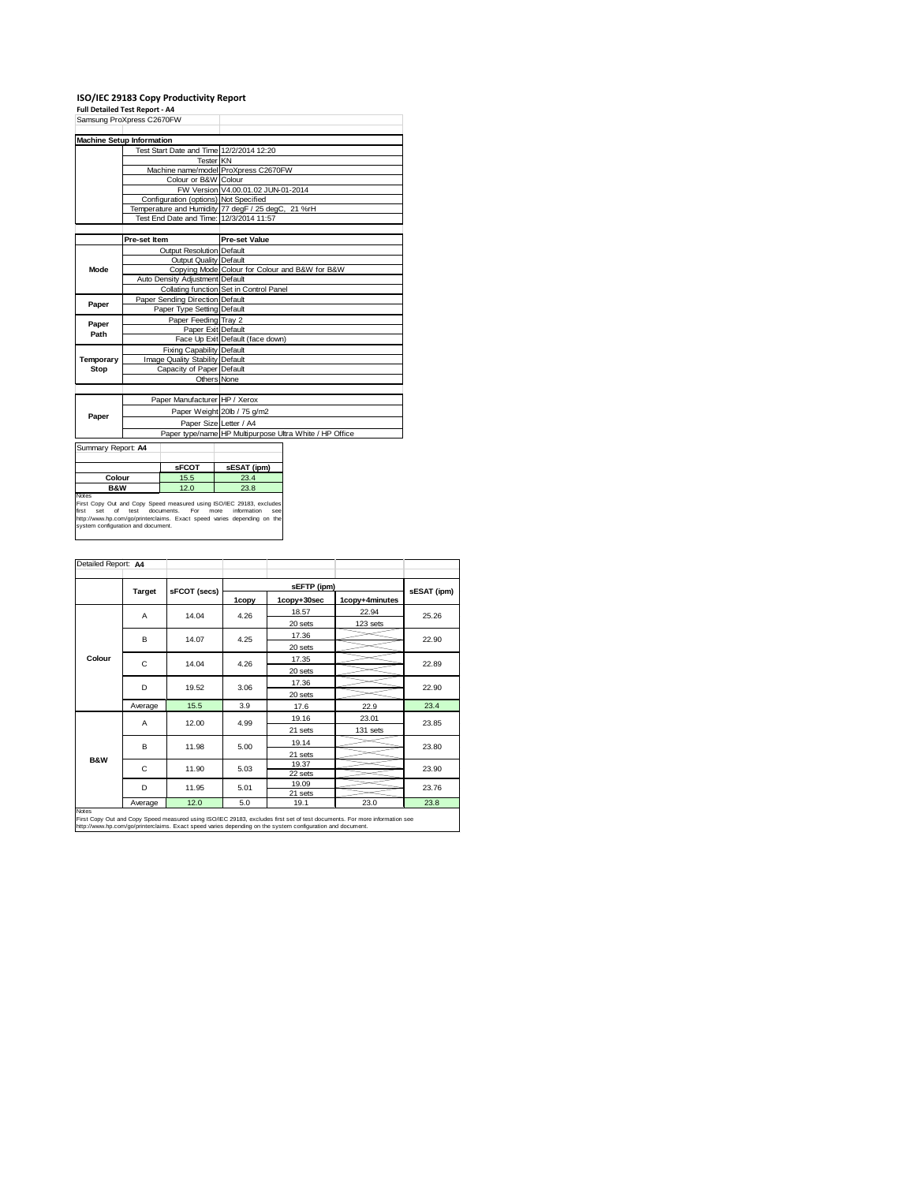| <b>Full Detailed Test Report - A4</b>                             |                                 | ISO/IEC 29183 Copy Productivity Report |                                                                                                                                                                               |                                                         |  |  |
|-------------------------------------------------------------------|---------------------------------|----------------------------------------|-------------------------------------------------------------------------------------------------------------------------------------------------------------------------------|---------------------------------------------------------|--|--|
| Samsung ProXpress C2670FW                                         |                                 |                                        |                                                                                                                                                                               |                                                         |  |  |
|                                                                   |                                 |                                        |                                                                                                                                                                               |                                                         |  |  |
| <b>Machine Setup Information</b>                                  |                                 |                                        |                                                                                                                                                                               |                                                         |  |  |
|                                                                   |                                 |                                        | Test Start Date and Time 12/2/2014 12:20                                                                                                                                      |                                                         |  |  |
|                                                                   |                                 | Tester KN                              |                                                                                                                                                                               |                                                         |  |  |
|                                                                   |                                 |                                        | Machine name/model ProXpress C2670FW                                                                                                                                          |                                                         |  |  |
|                                                                   |                                 | Colour or B&W Colour                   |                                                                                                                                                                               |                                                         |  |  |
|                                                                   |                                 |                                        | FW Version V4.00.01.02 JUN-01-2014                                                                                                                                            |                                                         |  |  |
|                                                                   |                                 | Configuration (options) Not Specified  |                                                                                                                                                                               |                                                         |  |  |
|                                                                   |                                 |                                        | Temperature and Humidity 77 degF / 25 degC, 21 %rH                                                                                                                            |                                                         |  |  |
|                                                                   |                                 |                                        | Test End Date and Time: 12/3/2014 11:57                                                                                                                                       |                                                         |  |  |
|                                                                   |                                 |                                        |                                                                                                                                                                               |                                                         |  |  |
|                                                                   | Pre-set Item                    |                                        | <b>Pre-set Value</b>                                                                                                                                                          |                                                         |  |  |
|                                                                   |                                 | Output Resolution Default              |                                                                                                                                                                               |                                                         |  |  |
|                                                                   |                                 | Output Quality Default                 |                                                                                                                                                                               |                                                         |  |  |
| Mode                                                              |                                 |                                        | Copying Mode Colour for Colour and B&W for B&W                                                                                                                                |                                                         |  |  |
|                                                                   |                                 | Auto Density Adjustment Default        |                                                                                                                                                                               |                                                         |  |  |
|                                                                   |                                 |                                        | Collating function Set in Control Panel                                                                                                                                       |                                                         |  |  |
| Paper                                                             |                                 | Paper Sending Direction Default        |                                                                                                                                                                               |                                                         |  |  |
|                                                                   |                                 | Paper Type Setting Default             |                                                                                                                                                                               |                                                         |  |  |
| Paper                                                             |                                 | Paper Feeding Tray 2                   |                                                                                                                                                                               |                                                         |  |  |
| Path                                                              | Paper Exit Default              |                                        |                                                                                                                                                                               |                                                         |  |  |
|                                                                   |                                 |                                        | Face Up Exit Default (face down)                                                                                                                                              |                                                         |  |  |
|                                                                   | Fixing Capability Default       |                                        |                                                                                                                                                                               |                                                         |  |  |
| Temporary                                                         | Image Quality Stability Default |                                        |                                                                                                                                                                               |                                                         |  |  |
| Stop                                                              | Capacity of Paper Default       |                                        |                                                                                                                                                                               |                                                         |  |  |
|                                                                   |                                 |                                        | Others None                                                                                                                                                                   |                                                         |  |  |
|                                                                   |                                 | Paper Manufacturer HP / Xerox          |                                                                                                                                                                               |                                                         |  |  |
|                                                                   |                                 |                                        | Paper Weight 20lb / 75 g/m2                                                                                                                                                   |                                                         |  |  |
| Paper                                                             |                                 |                                        |                                                                                                                                                                               |                                                         |  |  |
|                                                                   |                                 |                                        | Paper Size Letter / A4                                                                                                                                                        |                                                         |  |  |
|                                                                   |                                 |                                        |                                                                                                                                                                               | Paper type/name HP Multipurpose Ultra White / HP Office |  |  |
| Summary Report: A4                                                |                                 |                                        |                                                                                                                                                                               |                                                         |  |  |
|                                                                   |                                 |                                        |                                                                                                                                                                               |                                                         |  |  |
|                                                                   |                                 | <b>sFCOT</b>                           | sESAT (ipm)                                                                                                                                                                   |                                                         |  |  |
| Colour<br>15.5                                                    |                                 | 23.4                                   |                                                                                                                                                                               |                                                         |  |  |
| <b>B&amp;W</b><br>12.0                                            |                                 | 23.8                                   |                                                                                                                                                                               |                                                         |  |  |
| Notes<br>first<br>set<br>of<br>system configuration and document. | test                            | documents.<br>For                      | First Copy Out and Copy Speed measured using ISO/IEC 29183, excludes<br>more<br>information<br>see<br>http://www.hp.com/go/printerclaims. Exact speed varies depending on the |                                                         |  |  |

| Detailed Report: A4 |         |               |         |                  |                |             |  |
|---------------------|---------|---------------|---------|------------------|----------------|-------------|--|
|                     |         |               |         |                  |                |             |  |
|                     | Target  | sFCOT (secs)  | 1copy   | 1copy+30sec      | 1copy+4minutes | sESAT (ipm) |  |
|                     | A       | 14.04         | 4.26    | 18.57            | 22.94          | 25.26       |  |
|                     |         |               |         | 20 sets          | 123 sets       |             |  |
|                     | в       | 14.07         | 4.25    | 17.36            |                | 22.90       |  |
|                     |         |               |         | 20 sets          |                |             |  |
| Colour              | C       | 14.04         | 4.26    | 17.35            |                | 22.89       |  |
|                     |         |               |         | 20 sets          |                |             |  |
|                     | D       | 19.52<br>3.06 |         | 17.36            |                | 22.90       |  |
|                     |         |               | 20 sets |                  |                |             |  |
|                     | Average | 15.5          | 3.9     | 17.6             | 22.9           | 23.4        |  |
|                     | A       | 12.00         | 4.99    | 19.16            | 23.01          | 23.85       |  |
|                     |         |               |         | 21 sets          | 131 sets       |             |  |
|                     | в       | 11.98         | 5.00    | 19.14            |                | 23.80       |  |
|                     |         |               |         | 21 sets          |                |             |  |
| <b>B&amp;W</b>      | C       | 11.90         | 5.03    | 19.37            |                | 23.90       |  |
|                     |         |               |         | 22 sets          |                |             |  |
|                     | D       | 11.95         | 5.01    | 19.09<br>21 sets |                | 23.76       |  |
|                     | Average | 12.0          | 5.0     | 19.1             | 23.0           | 23.8        |  |
| Notes               |         |               |         |                  |                |             |  |

Notes<br>First Copy Out and Copy Speed measured using ISO/IEC 29183, excludes first set of test documents. For more information see<br>http://www.hp.com/go/printerclaims. Exact speed varies depending on the system configuration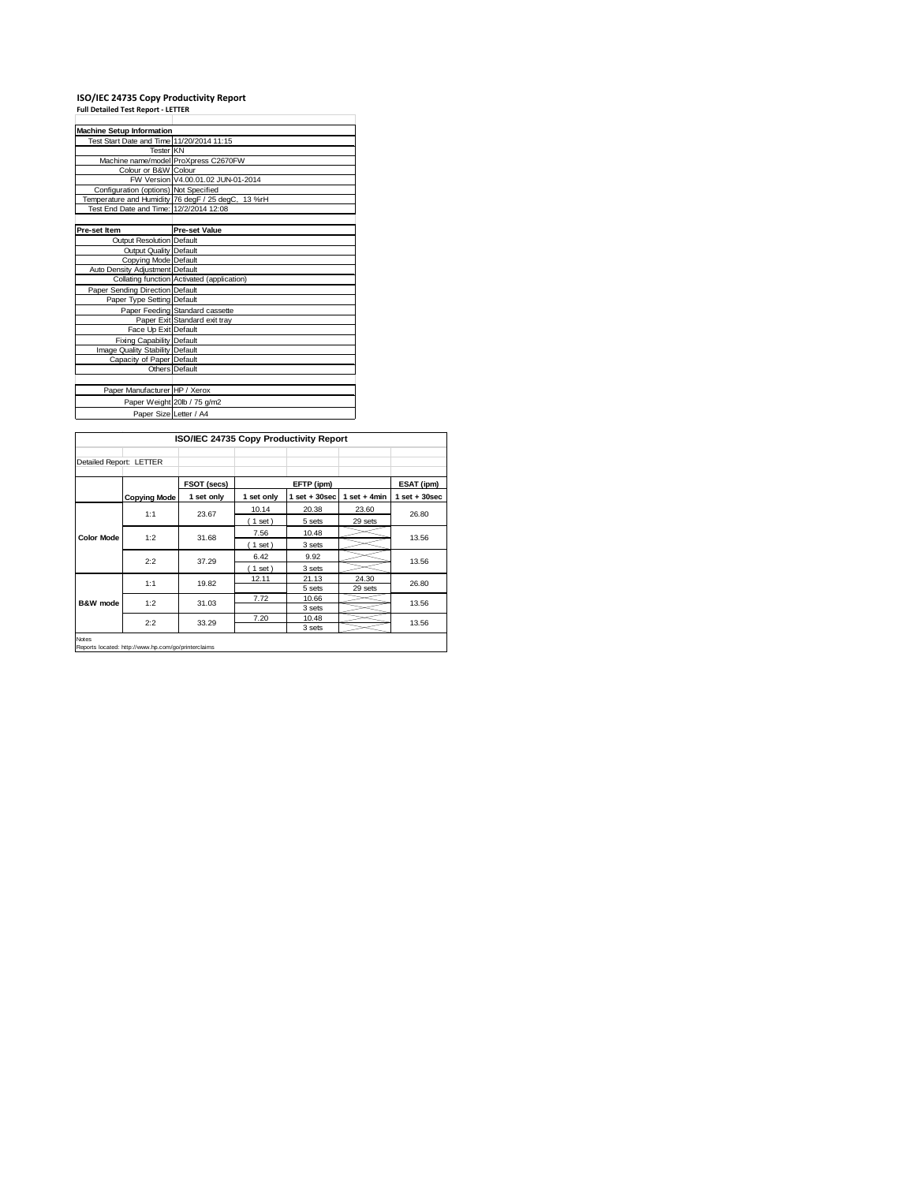# **ISO/IEC 24735 Copy Productivity Report Full Detailed Test Report ‐ LETTER**

| <b>Machine Setup Information</b>          |                                                    |
|-------------------------------------------|----------------------------------------------------|
| Test Start Date and Time 11/20/2014 11:15 |                                                    |
| <b>Tester KN</b>                          |                                                    |
|                                           | Machine name/model ProXpress C2670FW               |
| Colour or B&W Colour                      |                                                    |
|                                           | FW Version V4.00.01.02 JUN-01-2014                 |
| Configuration (options) Not Specified     |                                                    |
|                                           | Temperature and Humidity 76 degF / 25 degC, 13 %rH |
| Test End Date and Time: 12/2/2014 12:08   |                                                    |
|                                           |                                                    |
| Pre-set Item                              | <b>Pre-set Value</b>                               |
| <b>Output Resolution Default</b>          |                                                    |
| <b>Output Quality Default</b>             |                                                    |
| Copying Mode Default                      |                                                    |
| Auto Density Adjustment Default           |                                                    |
|                                           | Collating function Activated (application)         |
| Paper Sending Direction Default           |                                                    |
| Paper Type Setting Default                |                                                    |
|                                           | Paper Feeding Standard cassette                    |
|                                           | Paper Exit Standard exit tray                      |
| Face Up Exit Default                      |                                                    |
| <b>Fixing Capability Default</b>          |                                                    |
| Image Quality Stability Default           |                                                    |
| Capacity of Paper Default                 |                                                    |
|                                           | Others Default                                     |
|                                           |                                                    |
| Paper Manufacturer HP / Xerox             |                                                    |
|                                           | Paper Weight 20lb / 75 g/m2                        |
| Paper Size Letter / A4                    |                                                    |

|                         |                     | ISO/IEC 24735 Copy Productivity Report |            |                   |                             |                   |
|-------------------------|---------------------|----------------------------------------|------------|-------------------|-----------------------------|-------------------|
| Detailed Report: LETTER |                     |                                        |            |                   |                             |                   |
|                         |                     | FSOT (secs)                            |            | EFTP (ipm)        |                             | ESAT (ipm)        |
|                         | <b>Copying Mode</b> | 1 set only                             | 1 set only | $1$ set $+30$ sec | 1 set $+4$ min              | $1$ set $+30$ sec |
|                         | 1:1                 | 23.67                                  | 10.14      | 20.38             | 23.60                       | 26.80             |
|                         |                     |                                        | (1 set)    | 5 sets            | 29 sets<br>24.30<br>29 sets |                   |
| <b>Color Mode</b>       | 1:2                 | 31.68                                  | 7.56       | 10.48             |                             | 13.56             |
|                         |                     |                                        | $1$ set)   | 3 sets            |                             |                   |
|                         | 2:2                 | 37.29                                  | 6.42       | 9.92              |                             | 13.56             |
|                         |                     |                                        | $1$ set)   | 3 sets            |                             |                   |
|                         | 1:1                 | 19.82                                  | 12.11      | 21.13             |                             | 26.80             |
| B&W mode                |                     |                                        | 5 sets     |                   |                             |                   |
|                         | 1:2                 | 31.03                                  | 7.72       | 10.66             |                             | 13.56             |
|                         |                     |                                        |            | 3 sets            |                             |                   |
|                         | 2:2                 | 33.29                                  | 7.20       | 10.48             |                             | 13.56             |
|                         |                     |                                        |            | 3 sets            |                             |                   |

Notes Reports located: http://www.hp.com/go/printerclaims